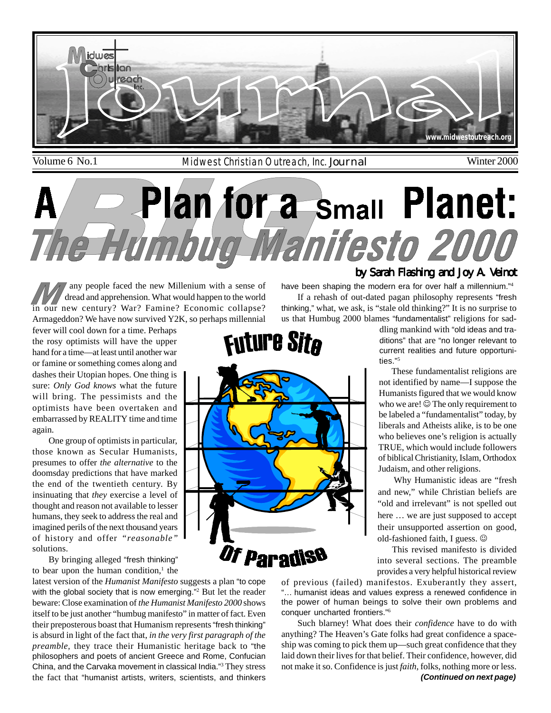

Volume 6 No.1 Midwest Christian Outreach, Inc. Journal Winter 2000

# **Small Planet: PERT** 0 **72** nifesto 20

any people faced the new Millenium with a sense of dread and apprehension. What would happen to the world in our new century? War? Famine? Economic collapse? Armageddon? We have now survived Y2K, so perhaps millennial

fever will cool down for a time. Perhaps the rosy optimists will have the upper hand for a time—at least until another war or famine or something comes along and dashes their Utopian hopes. One thing is sure: *Only God knows* what the future will bring. The pessimists and the optimists have been overtaken and embarrassed by REALITY time and time again.

One group of optimists in particular, those known as Secular Humanists, presumes to offer *the alternative* to the doomsday predictions that have marked the end of the twentieth century. By insinuating that *they* exercise a level of thought and reason not available to lesser humans, they seek to address the real and imagined perils of the next thousand years of history and offer *"reasonable"* solutions.

By bringing alleged "fresh thinking" to bear upon the human condition, $<sup>1</sup>$  the</sup>

latest version of the *Humanist Manifesto* suggests a plan "to cope with the global society that is now emerging."<sup>2</sup> But let the reader beware: Close examination of *the Humanist Manifesto 2000* shows itself to be just another "humbug manifesto" in matter of fact. Even their preposterous boast that Humanism represents "fresh thinking" is absurd in light of the fact that, *in the very first paragraph of the preamble,* they trace their Humanistic heritage back to "the philosophers and poets of ancient Greece and Rome, Confucian China, and the Carvaka movement in classical India."<sup>3</sup> They stress the fact that "humanist artists, writers, scientists, and thinkers

#### If a rehash of out-dated pagan philosophy represents "fresh thinking," what, we ask, is "stale old thinking?" It is no surprise to

have been shaping the modern era for over half a millennium."<sup>4</sup>

us that Humbug 2000 blames "fundamentalist" religions for saddling mankind with "old ideas and traditions" that are "no longer relevant to

by Sarah Flashing and Joy A. Veinot

current realities and future opportunities."<sup>5</sup>

 These fundamentalist religions are not identified by name—I suppose the Humanists figured that we would know who we are!  $\circledcirc$  The only requirement to be labeled a "fundamentalist" today, by liberals and Atheists alike, is to be one who believes one's religion is actually TRUE, which would include followers of biblical Christianity, Islam, Orthodox Judaism, and other religions.

 Why Humanistic ideas are "fresh and new," while Christian beliefs are "old and irrelevant" is not spelled out here … we are just supposed to accept their unsupported assertion on good, old-fashioned faith, I guess.  $\odot$ 

 This revised manifesto is divided into several sections. The preamble provides a very helpful historical review

of previous (failed) manifestos. Exuberantly they assert, "… humanist ideas and values express a renewed confidence in the power of human beings to solve their own problems and conquer uncharted frontiers."<sup>6</sup>

*(Continued on next page)* Such blarney! What does their *confidence* have to do with anything? The Heaven's Gate folks had great confidence a spaceship was coming to pick them up—such great confidence that they laid down their lives for that belief. Their confidence, however, did not make it so. Confidence is just *faith*, folks, nothing more or less.

# **Future Site**

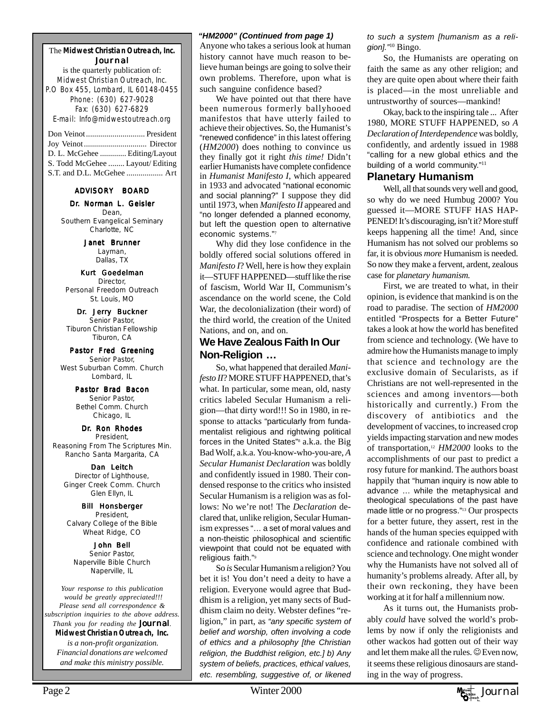#### The **Midwest Christian Outreach, Inc.** Journal

is the quarterly publication of: Midwest Christian Outreach, Inc. P.O Box 455, Lombard, IL 60148-0455 Phone: (630) 627-9028 Fax: (630) 627-6829 E-mail: Info@midwestoutreach.org

| D. L. McGehee  Editing/Layout    |  |
|----------------------------------|--|
| S. Todd McGehee  Layout/ Editing |  |
| S.T. and D.L. McGehee  Art       |  |

#### ADVISORY BOARD

#### Dr. Norman L. Geisler

Dean, Southern Evangelical Seminary Charlotte, NC

> Janet Brunner Layman, Dallas, TX

Kurt Goedelman Director, Personal Freedom Outreach St. Louis, MO

Dr. Jerry Buckner Senior Pastor, Tiburon Christian Fellowship Tiburon, CA

Pastor Fred Greening Senior Pastor, West Suburban Comm. Church Lombard, IL

> Pastor Brad Bacon Senior Pastor, Bethel Comm. Church Chicago, IL

#### Dr. Ron Rhodes

President, Reasoning From The Scriptures Min. Rancho Santa Margarita, CA

Dan Leitch Director of Lighthouse, Ginger Creek Comm. Church Glen Ellyn, IL

Bill Honsberger President, Calvary College of the Bible Wheat Ridge, CO

John Bell Senior Pastor, Naperville Bible Church Naperville, IL

*Your response to this publication would be greatly appreciated!!! Please send all correspondence & subscription inquiries to the above address. Thank you for reading the Journal.* **Midwest Christian Outreach, Inc.**  *is a non-profit organization. Financial donations are welcomed and make this ministry possible.*

#### *"HM2000" (Continued from page 1)*

Anyone who takes a serious look at human history cannot have much reason to believe human beings are going to solve their own problems. Therefore, upon what is such sanguine confidence based?

We have pointed out that there have been numerous formerly ballyhooed manifestos that have utterly failed to achieve their objectives. So, the Humanist's "renewed confidence" in this latest offering (*HM2000*) does nothing to convince us they finally got it right *this time!* Didn't earlier Humanists have complete confidence in *Humanist Manifesto I*, which appeared in 1933 and advocated "national economic and social planning?" I suppose they did until 1973, when *Manifesto II* appeared and "no longer defended a planned economy, but left the question open to alternative economic systems."<sup>7</sup>

Why did they lose confidence in the boldly offered social solutions offered in *Manifesto I*? Well, here is how they explain it—STUFF HAPPENED—stuff like the rise of fascism, World War II, Communism's ascendance on the world scene, the Cold War, the decolonialization (their word) of the third world, the creation of the United Nations, and on, and on.

#### **We Have Zealous Faith In Our Non-Religion …**

So, what happened that derailed *Manifesto II*? MORE STUFF HAPPENED, that's what. In particular, some mean, old, nasty critics labeled Secular Humanism a religion—that dirty word!!! So in 1980, in response to attacks "particularly from fundamentalist religious and rightwing political forces in the United States"<sup>8</sup> a.k.a. the Big Bad Wolf, a.k.a. You-know-who-you-are, *A Secular Humanist Declaration* was boldly and confidently issued in 1980. Their condensed response to the critics who insisted Secular Humanism is a religion was as follows: No we're not! The *Declaration* declared that, unlike religion, Secular Humanism expresses "… a set of moral values and a non-theistic philosophical and scientific viewpoint that could not be equated with religious faith."<sup>9</sup>

So *is* Secular Humanism a religion? You bet it is! You don't need a deity to have a religion. Everyone would agree that Buddhism is a religion, yet many sects of Buddhism claim no deity. Webster defines "religion," in part, as *"any specific system of belief and worship, often involving a code of ethics and a philosophy [the Christian religion, the Buddhist religion, etc.] b) Any system of beliefs, practices, ethical values, etc. resembling, suggestive of, or likened* *to such a system [humanism as a religion]."*<sup>10</sup> Bingo.

So, the Humanists are operating on faith the same as any other religion; and they are quite open about where their faith is placed—in the most unreliable and untrustworthy of sources—mankind!

Okay, back to the inspiring tale ... After 1980, MORE STUFF HAPPENED, so *A Declaration of Interdependence* was boldly, confidently, and ardently issued in 1988 "calling for a new global ethics and the building of a world community."<sup>11</sup>

#### **Planetary Humanism**

Well, all that sounds very well and good, so why do we need Humbug 2000? You guessed it—MORE STUFF HAS HAP-PENED! It's discouraging, isn't it? More stuff keeps happening all the time! And, since Humanism has not solved our problems so far, it is obvious *more* Humanism is needed. So now they make a fervent, ardent, zealous case for *planetary humanism.*

First, we are treated to what, in their opinion, is evidence that mankind is on the road to paradise. The section of *HM2000* entitled "Prospects for a Better Future" takes a look at how the world has benefited from science and technology. (We have to admire how the Humanists manage to imply that science and technology are the exclusive domain of Secularists, as if Christians are not well-represented in the sciences and among inventors—both historically and currently.) From the discovery of antibiotics and the development of vaccines, to increased crop yields impacting starvation and new modes of transportation,12 *HM2000* looks to the accomplishments of our past to predict a rosy future for mankind. The authors boast happily that "human inquiry is now able to advance … while the metaphysical and theological speculations of the past have made little or no progress."13 Our prospects for a better future, they assert, rest in the hands of the human species equipped with confidence and rationale combined with science and technology. One might wonder why the Humanists have not solved all of humanity's problems already. After all, by their own reckoning, they have been working at it for half a millennium now.

As it turns out, the Humanists probably *could* have solved the world's problems by now if only the religionists and other wackos had gotten out of their way and let them make all the rules.  $\odot$  Even now, it seems these religious dinosaurs are standing in the way of progress.

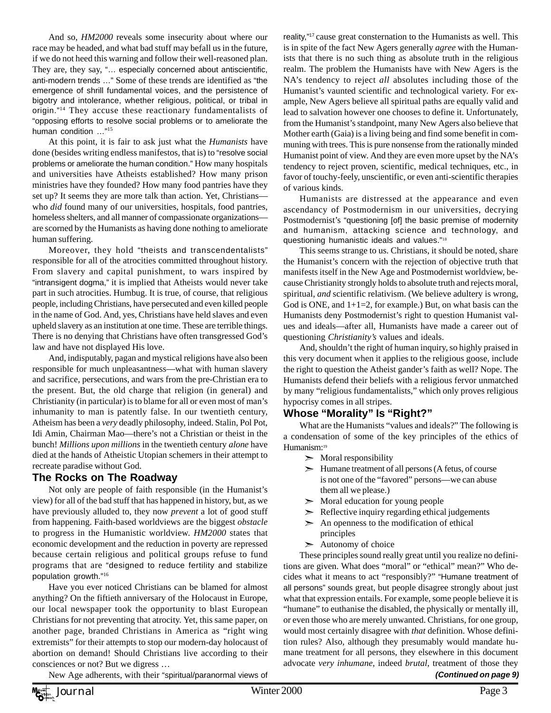And so, *HM2000* reveals some insecurity about where our race may be headed, and what bad stuff may befall us in the future, if we do not heed this warning and follow their well-reasoned plan. They are, they say, "… especially concerned about antiscientific, anti-modern trends …" Some of these trends are identified as "the emergence of shrill fundamental voices, and the persistence of bigotry and intolerance, whether religious, political, or tribal in origin."14 They accuse these reactionary fundamentalists of "opposing efforts to resolve social problems or to ameliorate the human condition …"<sup>15</sup>

At this point, it is fair to ask just what the *Humanists* have done (besides writing endless manifestos, that is) to "resolve social problems or ameliorate the human condition." How many hospitals and universities have Atheists established? How many prison ministries have they founded? How many food pantries have they set up? It seems they are more talk than action. Yet, Christians who *did* found many of our universities, hospitals, food pantries, homeless shelters, and all manner of compassionate organizations are scorned by the Humanists as having done nothing to ameliorate human suffering.

Moreover, they hold "theists and transcendentalists" responsible for all of the atrocities committed throughout history. From slavery and capital punishment, to wars inspired by "intransigent dogma," it is implied that Atheists would never take part in such atrocities. Humbug. It is true, of course, that religious people, including Christians, have persecuted and even killed people in the name of God. And, yes, Christians have held slaves and even upheld slavery as an institution at one time. These are terrible things. There is no denying that Christians have often transgressed God's law and have not displayed His love.

And, indisputably, pagan and mystical religions have also been responsible for much unpleasantness—what with human slavery and sacrifice, persecutions, and wars from the pre-Christian era to the present. But, the old charge that religion (in general) and Christianity (in particular) is to blame for all or even most of man's inhumanity to man is patently false. In our twentieth century, Atheism has been a *very* deadly philosophy, indeed. Stalin, Pol Pot, Idi Amin, Chairman Mao—there's not a Christian or theist in the bunch! *Millions upon millions* in the twentieth century *alone* have died at the hands of Atheistic Utopian schemers in their attempt to recreate paradise without God.

#### **The Rocks on The Roadway**

Not only are people of faith responsible (in the Humanist's view) for all of the bad stuff that has happened in history, but, as we have previously alluded to, they now *prevent* a lot of good stuff from happening. Faith-based worldviews are the biggest *obstacle* to progress in the Humanistic worldview. *HM2000* states that economic development and the reduction in poverty are repressed because certain religious and political groups refuse to fund programs that are "designed to reduce fertility and stabilize population growth."<sup>16</sup>

Have you ever noticed Christians can be blamed for almost anything? On the fiftieth anniversary of the Holocaust in Europe, our local newspaper took the opportunity to blast European Christians for not preventing that atrocity. Yet, this same paper, on another page, branded Christians in America as "right wing extremists" for their attempts to stop our modern-day holocaust of abortion on demand! Should Christians live according to their consciences or not? But we digress …

reality,"17 cause great consternation to the Humanists as well. This is in spite of the fact New Agers generally *agree* with the Humanists that there is no such thing as absolute truth in the religious realm. The problem the Humanists have with New Agers is the NA's tendency to reject *all* absolutes including those of the Humanist's vaunted scientific and technological variety. For example, New Agers believe all spiritual paths are equally valid and lead to salvation however one chooses to define it. Unfortunately, from the Humanist's standpoint, many New Agers also believe that Mother earth (Gaia) is a living being and find some benefit in communing with trees. This is pure nonsense from the rationally minded Humanist point of view. And they are even more upset by the NA's tendency to reject proven, scientific, medical techniques, etc., in favor of touchy-feely, unscientific, or even anti-scientific therapies of various kinds.

Humanists are distressed at the appearance and even ascendancy of Postmodernism in our universities, decrying Postmodernist's "questioning [of] the basic premise of modernity and humanism, attacking science and technology, and questioning humanistic ideals and values."<sup>18</sup>

This seems strange to us. Christians, it should be noted, share the Humanist's concern with the rejection of objective truth that manifests itself in the New Age and Postmodernist worldview, because Christianity strongly holds to absolute truth and rejects moral, spiritual, *and* scientific relativism. (We believe adultery is wrong, God is ONE, and  $1+1=2$ , for example.) But, on what basis can the Humanists deny Postmodernist's right to question Humanist values and ideals—after all, Humanists have made a career out of questioning *Christianity's* values and ideals.

And, shouldn't the right of human inquiry, so highly praised in this very document when it applies to the religious goose, include the right to question the Atheist gander's faith as well? Nope. The Humanists defend their beliefs with a religious fervor unmatched by many "religious fundamentalists," which only proves religious hypocrisy comes in all stripes.

#### **Whose "Morality" Is "Right?"**

What are the Humanists "values and ideals?" The following is a condensation of some of the key principles of the ethics of Humanism:<sup>19</sup>

- $\triangleright$  Moral responsibility
- $\geq$  Humane treatment of all persons (A fetus, of course is not one of the "favored" persons—we can abuse them all we please.)
- $\triangleright$  Moral education for young people
- $\triangleright$  Reflective inquiry regarding ethical judgements
- $\geq$  An openness to the modification of ethical principles
- $\geq$  Autonomy of choice

*(Continued on page 9)* These principles sound really great until you realize no definitions are given. What does "moral" or "ethical" mean?" Who decides what it means to act "responsibly?" "Humane treatment of all persons" sounds great, but people disagree strongly about just what that expression entails. For example, some people believe it is "humane" to euthanise the disabled, the physically or mentally ill, or even those who are merely unwanted. Christians, for one group, would most certainly disagree with *that* definition. Whose definition rules? Also, although they presumably would mandate humane treatment for all persons, they elsewhere in this document advocate *very inhumane*, indeed *brutal*, treatment of those they

New Age adherents, with their "spiritual/paranormal views of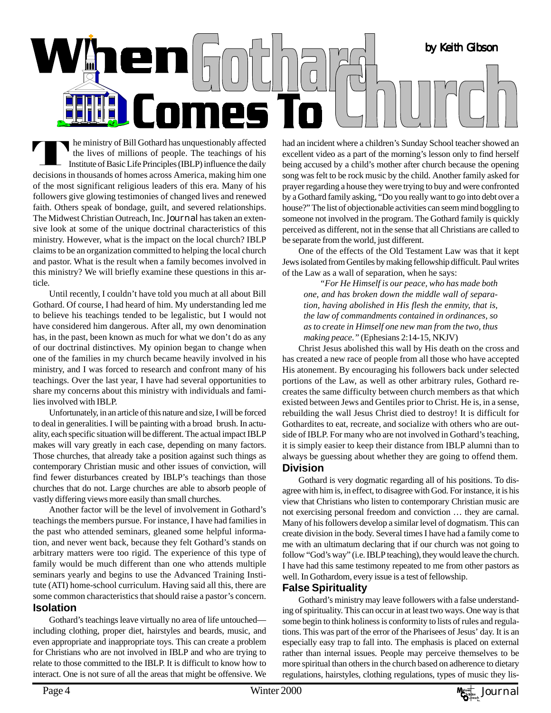

he ministry of Bill Gothard has unquestionably affected the lives of millions of people. The teachings of his Institute of Basic Life Principles (IBLP) influence the daily decisions in thousands of homes across America, making him one of the most significant religious leaders of this era. Many of his followers give glowing testimonies of changed lives and renewed faith. Others speak of bondage, guilt, and severed relationships. The Midwest Christian Outreach, Inc. Journal has taken an extensive look at some of the unique doctrinal characteristics of this ministry. However, what is the impact on the local church? IBLP claims to be an organization committed to helping the local church and pastor. What is the result when a family becomes involved in this ministry? We will briefly examine these questions in this article.

Until recently, I couldn't have told you much at all about Bill Gothard. Of course, I had heard of him. My understanding led me to believe his teachings tended to be legalistic, but I would not have considered him dangerous. After all, my own denomination has, in the past, been known as much for what we don't do as any of our doctrinal distinctives. My opinion began to change when one of the families in my church became heavily involved in his ministry, and I was forced to research and confront many of his teachings. Over the last year, I have had several opportunities to share my concerns about this ministry with individuals and families involved with IBLP.

Unfortunately, in an article of this nature and size, I will be forced to deal in generalities. I will be painting with a broad brush. In actuality, each specific situation will be different. The actual impact IBLP makes will vary greatly in each case, depending on many factors. Those churches, that already take a position against such things as contemporary Christian music and other issues of conviction, will find fewer disturbances created by IBLP's teachings than those churches that do not. Large churches are able to absorb people of vastly differing views more easily than small churches.

Another factor will be the level of involvement in Gothard's teachings the members pursue. For instance, I have had families in the past who attended seminars, gleaned some helpful information, and never went back, because they felt Gothard's stands on arbitrary matters were too rigid. The experience of this type of family would be much different than one who attends multiple seminars yearly and begins to use the Advanced Training Institute (ATI) home-school curriculum. Having said all this, there are some common characteristics that should raise a pastor's concern. **Isolation**

Gothard's teachings leave virtually no area of life untouched including clothing, proper diet, hairstyles and beards, music, and even appropriate and inappropriate toys. This can create a problem for Christians who are not involved in IBLP and who are trying to relate to those committed to the IBLP. It is difficult to know how to interact. One is not sure of all the areas that might be offensive. We had an incident where a children's Sunday School teacher showed an excellent video as a part of the morning's lesson only to find herself being accused by a child's mother after church because the opening song was felt to be rock music by the child. Another family asked for prayer regarding a house they were trying to buy and were confronted by a Gothard family asking, "Do you really want to go into debt over a house?" The list of objectionable activities can seem mind boggling to someone not involved in the program. The Gothard family is quickly perceived as different, not in the sense that all Christians are called to be separate from the world, just different.

One of the effects of the Old Testament Law was that it kept Jews isolated from Gentiles by making fellowship difficult. Paul writes of the Law as a wall of separation, when he says:

*"For He Himself is our peace, who has made both one, and has broken down the middle wall of separation, having abolished in His flesh the enmity, that is, the law of commandments contained in ordinances, so as to create in Himself one new man from the two, thus making peace."* (Ephesians 2:14-15, NKJV)

Christ Jesus abolished this wall by His death on the cross and has created a new race of people from all those who have accepted His atonement. By encouraging his followers back under selected portions of the Law, as well as other arbitrary rules, Gothard recreates the same difficulty between church members as that which existed between Jews and Gentiles prior to Christ. He is, in a sense, rebuilding the wall Jesus Christ died to destroy! It is difficult for Gothardites to eat, recreate, and socialize with others who are outside of IBLP. For many who are not involved in Gothard's teaching, it is simply easier to keep their distance from IBLP alumni than to always be guessing about whether they are going to offend them. **Division**

Gothard is very dogmatic regarding all of his positions. To disagree with him is, in effect, to disagree with God. For instance, it is his view that Christians who listen to contemporary Christian music are not exercising personal freedom and conviction … they are carnal. Many of his followers develop a similar level of dogmatism. This can create division in the body. Several times I have had a family come to me with an ultimatum declaring that if our church was not going to follow "God's way" (i.e. IBLP teaching), they would leave the church. I have had this same testimony repeated to me from other pastors as well. In Gothardom, every issue is a test of fellowship.

#### **False Spirituality**

Gothard's ministry may leave followers with a false understanding of spirituality. This can occur in at least two ways. One way is that some begin to think holiness is conformity to lists of rules and regulations. This was part of the error of the Pharisees of Jesus' day. It is an especially easy trap to fall into. The emphasis is placed on external rather than internal issues. People may perceive themselves to be more spiritual than others in the church based on adherence to dietary regulations, hairstyles, clothing regulations, types of music they lis-

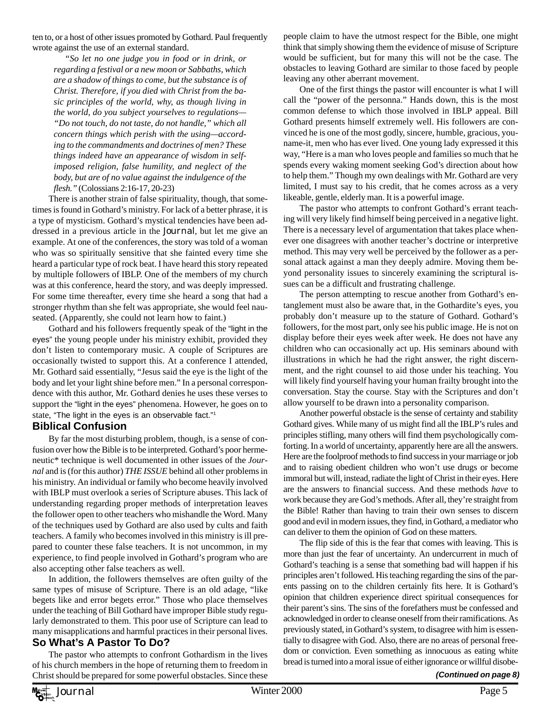ten to, or a host of other issues promoted by Gothard. Paul frequently wrote against the use of an external standard.

*"So let no one judge you in food or in drink, or regarding a festival or a new moon or Sabbaths, which are a shadow of things to come, but the substance is of Christ. Therefore, if you died with Christ from the basic principles of the world, why, as though living in the world, do you subject yourselves to regulations— "Do not touch, do not taste, do not handle," which all concern things which perish with the using—according to the commandments and doctrines of men? These things indeed have an appearance of wisdom in selfimposed religion, false humility, and neglect of the body, but are of no value against the indulgence of the flesh."* (Colossians 2:16-17, 20-23)

There is another strain of false spirituality, though, that sometimes is found in Gothard's ministry. For lack of a better phrase, it is a type of mysticism. Gothard's mystical tendencies have been addressed in a previous article in the Journal*,* but let me give an example. At one of the conferences, the story was told of a woman who was so spiritually sensitive that she fainted every time she heard a particular type of rock beat. I have heard this story repeated by multiple followers of IBLP. One of the members of my church was at this conference, heard the story, and was deeply impressed. For some time thereafter, every time she heard a song that had a stronger rhythm than she felt was appropriate, she would feel nauseated. (Apparently, she could not learn how to faint.)

Gothard and his followers frequently speak of the "light in the eyes" the young people under his ministry exhibit, provided they don't listen to contemporary music. A couple of Scriptures are occasionally twisted to support this. At a conference I attended, Mr. Gothard said essentially, "Jesus said the eye is the light of the body and let your light shine before men." In a personal correspondence with this author, Mr. Gothard denies he uses these verses to support the "light in the eyes" phenomena. However, he goes on to state, "The light in the eyes is an observable fact."1

#### **Biblical Confusion**

By far the most disturbing problem, though, is a sense of confusion over how the Bible is to be interpreted. Gothard's poor hermeneutic\* technique is well documented in other issues of the *Journal* and is (for this author) *THE ISSUE* behind all other problems in his ministry. An individual or family who become heavily involved with IBLP must overlook a series of Scripture abuses. This lack of understanding regarding proper methods of interpretation leaves the follower open to other teachers who mishandle the Word. Many of the techniques used by Gothard are also used by cults and faith teachers. A family who becomes involved in this ministry is ill prepared to counter these false teachers. It is not uncommon, in my experience, to find people involved in Gothard's program who are also accepting other false teachers as well.

In addition, the followers themselves are often guilty of the same types of misuse of Scripture. There is an old adage, "like begets like and error begets error." Those who place themselves under the teaching of Bill Gothard have improper Bible study regularly demonstrated to them. This poor use of Scripture can lead to many misapplications and harmful practices in their personal lives.

## **So What's A Pastor To Do?**

The pastor who attempts to confront Gothardism in the lives of his church members in the hope of returning them to freedom in Christ should be prepared for some powerful obstacles. Since these people claim to have the utmost respect for the Bible, one might think that simply showing them the evidence of misuse of Scripture would be sufficient, but for many this will not be the case. The obstacles to leaving Gothard are similar to those faced by people leaving any other aberrant movement.

One of the first things the pastor will encounter is what I will call the "power of the personna." Hands down, this is the most common defense to which those involved in IBLP appeal. Bill Gothard presents himself extremely well. His followers are convinced he is one of the most godly, sincere, humble, gracious, youname-it, men who has ever lived. One young lady expressed it this way, "Here is a man who loves people and families so much that he spends every waking moment seeking God's direction about how to help them." Though my own dealings with Mr. Gothard are very limited, I must say to his credit, that he comes across as a very likeable, gentle, elderly man. It is a powerful image.

The pastor who attempts to confront Gothard's errant teaching will very likely find himself being perceived in a negative light. There is a necessary level of argumentation that takes place whenever one disagrees with another teacher's doctrine or interpretive method. This may very well be perceived by the follower as a personal attack against a man they deeply admire. Moving them beyond personality issues to sincerely examining the scriptural issues can be a difficult and frustrating challenge.

The person attempting to rescue another from Gothard's entanglement must also be aware that, in the Gothardite's eyes, you probably don't measure up to the stature of Gothard. Gothard's followers, for the most part, only see his public image. He is not on display before their eyes week after week. He does not have any children who can occasionally act up. His seminars abound with illustrations in which he had the right answer, the right discernment, and the right counsel to aid those under his teaching. You will likely find yourself having your human frailty brought into the conversation. Stay the course. Stay with the Scriptures and don't allow yourself to be drawn into a personality comparison.

Another powerful obstacle is the sense of certainty and stability Gothard gives. While many of us might find all the IBLP's rules and principles stifling, many others will find them psychologically comforting. In a world of uncertainty, apparently here are all the answers. Here are the foolproof methods to find success in your marriage or job and to raising obedient children who won't use drugs or become immoral but will, instead, radiate the light of Christ in their eyes. Here are the answers to financial success. And these methods *have* to work because they are God's methods. After all, they're straight from the Bible! Rather than having to train their own senses to discern good and evil in modern issues, they find, in Gothard, a mediator who can deliver to them the opinion of God on these matters.

The flip side of this is the fear that comes with leaving. This is more than just the fear of uncertainty. An undercurrent in much of Gothard's teaching is a sense that something bad will happen if his principles aren't followed. His teaching regarding the sins of the parents passing on to the children certainly fits here. It is Gothard's opinion that children experience direct spiritual consequences for their parent's sins. The sins of the forefathers must be confessed and acknowledged in order to cleanse oneself from their ramifications. As previously stated, in Gothard's system, to disagree with him is essentially to disagree with God. Also, there are no areas of personal freedom or conviction. Even something as innocuous as eating white bread is turned into a moral issue of either ignorance or willful disobe-

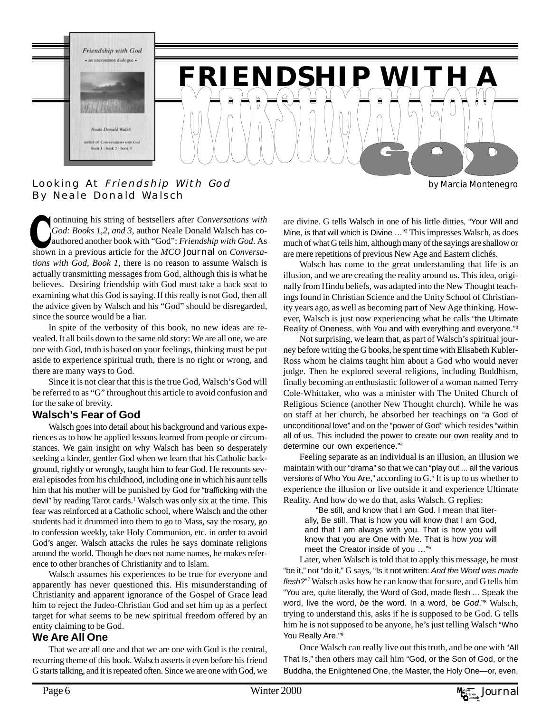

#### Looking At Friendship With God By Neale Donald Walsch

 ontinuing his string of bestsellers after *Conversations with God: Books 1,2, and 3,* author Neale Donald Walsch has coauthored another book with "God": *Friendship with God*. As shown in a previous article for the *MCO* Journal on *Conversations with God, Book 1*, there is no reason to assume Walsch is actually transmitting messages from God, although this is what he believes. Desiring friendship with God must take a back seat to examining what this God is saying. If this really is not God, then all the advice given by Walsch and his "God" should be disregarded, since the source would be a liar.

In spite of the verbosity of this book, no new ideas are revealed. It all boils down to the same old story: We are all one, we are one with God, truth is based on your feelings, thinking must be put aside to experience spiritual truth, there is no right or wrong, and there are many ways to God.

Since it is not clear that this is the true God, Walsch's God will be referred to as "G" throughout this article to avoid confusion and for the sake of brevity.

#### **Walsch's Fear of God**

Walsch goes into detail about his background and various experiences as to how he applied lessons learned from people or circumstances. We gain insight on why Walsch has been so desperately seeking a kinder, gentler God when we learn that his Catholic background, rightly or wrongly, taught him to fear God. He recounts several episodes from his childhood, including one in which his aunt tells him that his mother will be punished by God for "trafficking with the devil" by reading Tarot cards.<sup>1</sup> Walsch was only six at the time. This fear was reinforced at a Catholic school, where Walsch and the other students had it drummed into them to go to Mass, say the rosary, go to confession weekly, take Holy Communion, etc. in order to avoid God's anger. Walsch attacks the rules he says dominate religions around the world. Though he does not name names, he makes reference to other branches of Christianity and to Islam.

Walsch assumes his experiences to be true for everyone and apparently has never questioned this. His misunderstanding of Christianity and apparent ignorance of the Gospel of Grace lead him to reject the Judeo-Christian God and set him up as a perfect target for what seems to be new spiritual freedom offered by an entity claiming to be God.

#### **We Are All One**

That we are all one and that we are one with God is the central, recurring theme of this book. Walsch asserts it even before his friend G starts talking, and it is repeated often. Since we are one with God, we are divine. G tells Walsch in one of his little ditties, "Your Will and Mine, is that will which is Divine …"2 This impresses Walsch, as does much of what G tells him, although many of the sayings are shallow or are mere repetitions of previous New Age and Eastern clichés.

Walsch has come to the great understanding that life is an illusion, and we are creating the reality around us. This idea, originally from Hindu beliefs, was adapted into the New Thought teachings found in Christian Science and the Unity School of Christianity years ago, as well as becoming part of New Age thinking. However, Walsch is just now experiencing what he calls "the Ultimate Reality of Oneness, with You and with everything and everyone."3

Not surprising, we learn that, as part of Walsch's spiritual journey before writing the G books, he spent time with Elisabeth Kubler-Ross whom he claims taught him about a God who would never judge. Then he explored several religions, including Buddhism, finally becoming an enthusiastic follower of a woman named Terry Cole-Whittaker, who was a minister with The United Church of Religious Science (another New Thought church). While he was on staff at her church, he absorbed her teachings on "a God of unconditional love" and on the "power of God" which resides "within all of us. This included the power to create our own reality and to determine our own experience."<sup>4</sup>

Feeling separate as an individual is an illusion, an illusion we maintain with our "drama" so that we can "play out ... all the various versions of Who You Are," according to  $G<sup>5</sup>$  It is up to us whether to experience the illusion or live outside it and experience Ultimate Reality. And how do we do that, asks Walsch. G replies:

"Be still, and know that I am God. I mean that literally, Be still. That is how you will know that I am God, and that I am always with you. That is how you will know that you are One with Me. That is how *you* will meet the Creator inside of you …"6

Later, when Walsch is told that to apply this message, he must "be it," not "do it," G says, "Is it not written: *And the Word was made* flesh?"<sup>7</sup> Walsch asks how he can know that for sure, and G tells him "You are, quite literally, the Word of God, made flesh ... Speak the word, live the word, *be* the word. In a word, be *God*."8 Walsch, trying to understand this, asks if he is supposed to be God. G tells him he is not supposed to be anyone, he's just telling Walsch "Who You Really Are."<sup>9</sup>

Once Walsch can really live out this truth, and be one with "All That Is," then others may call him "God, or the Son of God, or the Buddha, the Enlightened One, the Master, the Holy One—or, even,

by Marcia Montenegro

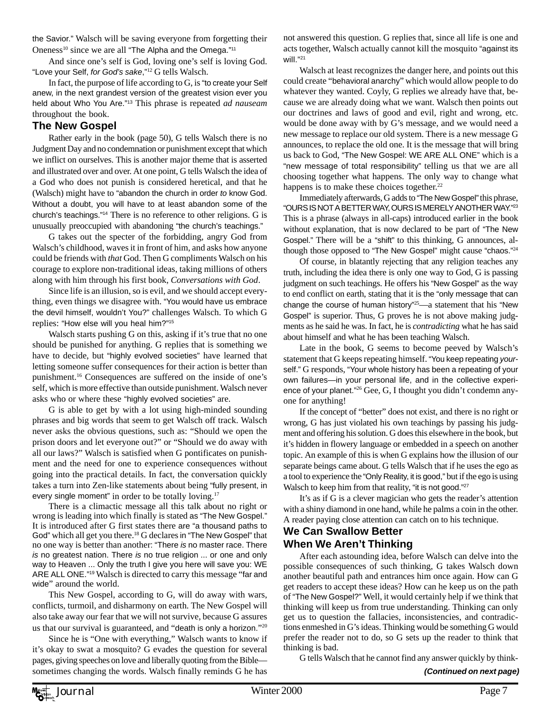the Savior." Walsch will be saving everyone from forgetting their Oneness<sup>10</sup> since we are all "The Alpha and the Omega."<sup>11</sup>

And since one's self is God, loving one's self is loving God. "Love your Self, *for God's sake*,"12 G tells Walsch.

In fact, the purpose of life according to G, is "to create your Self anew, in the next grandest version of the greatest vision ever you held about Who You Are."13 This phrase is repeated *ad nauseam* throughout the book.

#### **The New Gospel**

Rather early in the book (page 50), G tells Walsch there is no Judgment Day and no condemnation or punishment except that which we inflict on ourselves. This is another major theme that is asserted and illustrated over and over. At one point, G tells Walsch the idea of a God who does not punish is considered heretical, and that he (Walsch) might have to "abandon the church in order *to* know God. Without a doubt, you will have to at least abandon some of the church's teachings."14 There is no reference to other religions. G is unusually preoccupied with abandoning "the church's teachings."

G takes out the specter of the forbidding, angry God from Walsch's childhood, waves it in front of him, and asks how anyone could be friends with *that* God. Then G compliments Walsch on his courage to explore non-traditional ideas, taking millions of others along with him through his first book, *Conversations with God*.

Since life is an illusion, so is evil, and we should accept everything, even things we disagree with. "You would have us embrace the devil himself, wouldn't You?" challenges Walsch. To which G replies: "How else will you heal him?"15

Walsch starts pushing G on this, asking if it's true that no one should be punished for anything. G replies that is something we have to decide, but "highly evolved societies" have learned that letting someone suffer consequences for their action is better than punishment.16 Consequences are suffered on the inside of one's self, which is more effective than outside punishment. Walsch never asks who or where these "highly evolved societies" are.

G is able to get by with a lot using high-minded sounding phrases and big words that seem to get Walsch off track. Walsch never asks the obvious questions, such as: "Should we open the prison doors and let everyone out?" or "Should we do away with all our laws?" Walsch is satisfied when G pontificates on punishment and the need for one to experience consequences without going into the practical details. In fact, the conversation quickly takes a turn into Zen-like statements about being "fully present, in every single moment" in order to be totally loving.<sup>17</sup>

There is a climactic message all this talk about no right or wrong is leading into which finally is stated as "The New Gospel." It is introduced after G first states there are "a thousand paths to God" which all get you there.18 G declares in "The New Gospel" that no one way is better than another: "There *is* no master race. There *is* no greatest nation. There *is* no true religion ... or one and only way to Heaven ... Only the truth I give you here will save you: WE ARE ALL ONE."19 Walsch is directed to carry this message "far and wide" around the world.

This New Gospel, according to G, will do away with wars, conflicts, turmoil, and disharmony on earth. The New Gospel will also take away our fear that we will not survive, because G assures us that our survival is guaranteed, and "death is only a horizon."20

Since he is "One with everything," Walsch wants to know if it's okay to swat a mosquito? G evades the question for several pages, giving speeches on love and liberally quoting from the Bible sometimes changing the words. Walsch finally reminds G he has not answered this question. G replies that, since all life is one and acts together, Walsch actually cannot kill the mosquito "against its will."21

Walsch at least recognizes the danger here, and points out this could create "behavioral anarchy" which would allow people to do whatever they wanted. Coyly, G replies we already have that, because we are already doing what we want. Walsch then points out our doctrines and laws of good and evil, right and wrong, etc. would be done away with by G's message, and we would need a new message to replace our old system. There is a new message G announces, to replace the old one. It is the message that will bring us back to God, "The New Gospel: WE ARE ALL ONE" which is a "new message of total responsibility" telling us that we are all choosing together what happens. The only way to change what happens is to make these choices together.<sup>22</sup>

Immediately afterwards, G adds to "The New Gospel" this phrase, "OURS IS NOT A BETTER WAY, OURS IS MERELY ANOTHER WAY."23 This is a phrase (always in all-caps) introduced earlier in the book without explanation, that is now declared to be part of "The New Gospel." There will be a "shift" to this thinking, G announces, although those opposed to "The New Gospel" might cause "chaos."<sup>24</sup>

Of course, in blatantly rejecting that any religion teaches any truth, including the idea there is only one way to God, G is passing judgment on such teachings. He offers his "New Gospel" as the way to end conflict on earth, stating that it is the "only message that can change the course of human history"<sup>25</sup>—a statement that his "New Gospel" is superior. Thus, G proves he is not above making judgments as he said he was. In fact, he is *contradicting* what he has said about himself and what he has been teaching Walsch.

Late in the book, G seems to become peeved by Walsch's statement that G keeps repeating himself. "You keep repeating *your*self." G responds, "Your whole history has been a repeating of your own failures—in your personal life, and in the collective experience of your planet."26 Gee, G, I thought you didn't condemn anyone for anything!

If the concept of "better" does not exist, and there is no right or wrong, G has just violated his own teachings by passing his judgment and offering his solution. G does this elsewhere in the book, but it's hidden in flowery language or embedded in a speech on another topic. An example of this is when G explains how the illusion of our separate beings came about. G tells Walsch that if he uses the ego as a tool to experience the "Only Reality, it is good," but if the ego is using Walsch to keep him from that reality, "it is not good."<sup>27</sup>

It's as if G is a clever magician who gets the reader's attention with a shiny diamond in one hand, while he palms a coin in the other. A reader paying close attention can catch on to his technique.

#### **We Can Swallow Better**

## **When We Aren't Thinking**

After each astounding idea, before Walsch can delve into the possible consequences of such thinking, G takes Walsch down another beautiful path and entrances him once again. How can G get readers to accept these ideas? How can he keep us on the path of "The New Gospel?" Well, it would certainly help if we think that thinking will keep us from true understanding. Thinking can only get us to question the fallacies, inconsistencies, and contradictions enmeshed in G's ideas. Thinking would be something G would prefer the reader not to do, so G sets up the reader to think that thinking is bad.

G tells Walsch that he cannot find any answer quickly by think- *(Continued on next page)*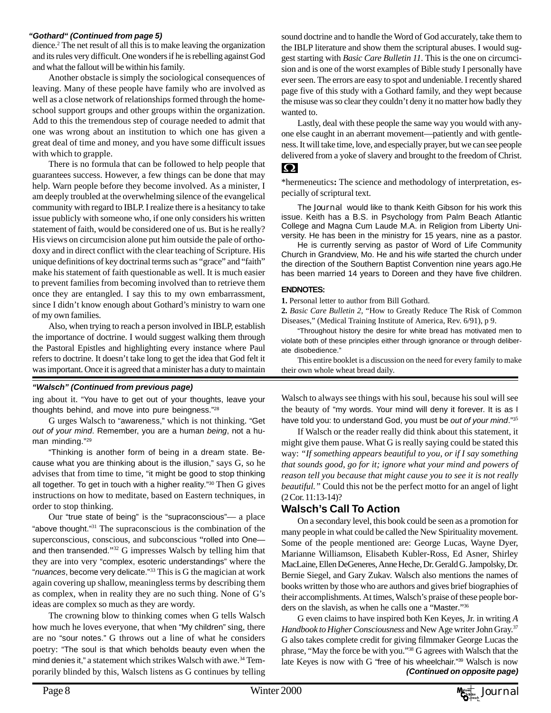#### *"Gothard" (Continued from page 5)*

dience.2 The net result of all this is to make leaving the organization and its rules very difficult. One wonders if he is rebelling against God and what the fallout will be within his family.

Another obstacle is simply the sociological consequences of leaving. Many of these people have family who are involved as well as a close network of relationships formed through the homeschool support groups and other groups within the organization. Add to this the tremendous step of courage needed to admit that one was wrong about an institution to which one has given a great deal of time and money, and you have some difficult issues with which to grapple.

There is no formula that can be followed to help people that guarantees success. However, a few things can be done that may help. Warn people before they become involved. As a minister, I am deeply troubled at the overwhelming silence of the evangelical community with regard to IBLP. I realize there is a hesitancy to take issue publicly with someone who, if one only considers his written statement of faith, would be considered one of us. But is he really? His views on circumcision alone put him outside the pale of orthodoxy and in direct conflict with the clear teaching of Scripture. His unique definitions of key doctrinal terms such as "grace" and "faith" make his statement of faith questionable as well. It is much easier to prevent families from becoming involved than to retrieve them once they are entangled. I say this to my own embarrassment, since I didn't know enough about Gothard's ministry to warn one of my own families.

Also, when trying to reach a person involved in IBLP, establish the importance of doctrine. I would suggest walking them through the Pastoral Epistles and highlighting every instance where Paul refers to doctrine. It doesn't take long to get the idea that God felt it was important. Once it is agreed that a minister has a duty to maintain

#### *"Walsch" (Continued from previous page)*

ing about it. "You have to get out of your thoughts, leave your thoughts behind, and move into pure beingness."28

G urges Walsch to "awareness," which is not thinking. "Get *out of your mind*. Remember, you are a human *being*, not a human minding."29

"Thinking is another form of being in a dream state. Because what you are thinking about is the illusion," says  $G$ , so he advises that from time to time, "it might be good to stop thinking all together. To get in touch with a higher reality."30 Then G gives instructions on how to meditate, based on Eastern techniques, in order to stop thinking.

Our "true state of being" is the "supraconscious"— a place "above thought."<sup>31</sup> The supraconscious is the combination of the superconscious, conscious, and subconscious "rolled into One and then transended."32 G impresses Walsch by telling him that they are into very "complex, esoteric understandings" where the "*nuances*, become very delicate."33 This is G the magician at work again covering up shallow, meaningless terms by describing them as complex, when in reality they are no such thing. None of G's ideas are complex so much as they are wordy.

The crowning blow to thinking comes when G tells Walsch how much he loves everyone, that when "My children" sing, there are no "sour notes." G throws out a line of what he considers poetry: "The soul is that which beholds beauty even when the mind denies it," a statement which strikes Walsch with awe.34 Temporarily blinded by this, Walsch listens as G continues by telling

sound doctrine and to handle the Word of God accurately, take them to the IBLP literature and show them the scriptural abuses. I would suggest starting with *Basic Care Bulletin 11*. This is the one on circumcision and is one of the worst examples of Bible study I personally have ever seen. The errors are easy to spot and undeniable. I recently shared page five of this study with a Gothard family, and they wept because the misuse was so clear they couldn't deny it no matter how badly they wanted to.

Lastly, deal with these people the same way you would with anyone else caught in an aberrant movement—patiently and with gentleness. It will take time, love, and especially prayer, but we can see people delivered from a yoke of slavery and brought to the freedom of Christ.

#### $\boldsymbol{\Omega}$

\*hermeneutics**:** The science and methodology of interpretation, especially of scriptural text.

The Journal would like to thank Keith Gibson for his work this issue. Keith has a B.S. in Psychology from Palm Beach Atlantic College and Magna Cum Laude M.A. in Religion from Liberty University. He has been in the ministry for 15 years, nine as a pastor.

He is currently serving as pastor of Word of Life Community Church in Grandview, Mo. He and his wife started the church under the direction of the Southern Baptist Convention nine years ago.He has been married 14 years to Doreen and they have five children.

#### **ENDNOTES:**

**1.** Personal letter to author from Bill Gothard.

**2.** *Basic Care Bulletin 2*, "How to Greatly Reduce The Risk of Common Diseases," (Medical Training Institute of America, Rev. 6/91), p 9.

"Throughout history the desire for white bread has motivated men to violate both of these principles either through ignorance or through deliberate disobedience."

This entire booklet is a discussion on the need for every family to make their own whole wheat bread daily.

Walsch to always see things with his soul, because his soul will see the beauty of "my words. Your mind will deny it forever. It is as I have told you: to understand God, you must be *out of your mind*."3<sup>5</sup>

If Walsch or the reader really did think about this statement, it might give them pause. What G is really saying could be stated this way: *"If something appears beautiful to you, or if I say something that sounds good, go for it; ignore what your mind and powers of reason tell you because that might cause you to see it is not really beautiful."* Could this not be the perfect motto for an angel of light (2 Cor. 11:13-14)?

#### **Walsch's Call To Action**

On a secondary level, this book could be seen as a promotion for many people in what could be called the New Spirituality movement. Some of the people mentioned are: George Lucas, Wayne Dyer, Marianne Williamson, Elisabeth Kubler-Ross, Ed Asner, Shirley MacLaine, Ellen DeGeneres, Anne Heche, Dr. Gerald G. Jampolsky, Dr. Bernie Siegel, and Gary Zukav. Walsch also mentions the names of books written by those who are authors and gives brief biographies of their accomplishments. At times, Walsch's praise of these people borders on the slavish, as when he calls one a "Master."36

G even claims to have inspired both Ken Keyes, Jr. in writing *A Handbook to Higher Consciousness* and New Age writer John Gray.37 G also takes complete credit for giving filmmaker George Lucas the phrase, "May the force be with you."38 G agrees with Walsch that the late Keyes is now with G "free of his wheelchair."<sup>39</sup> Walsch is now *(Continued on opposite page)*

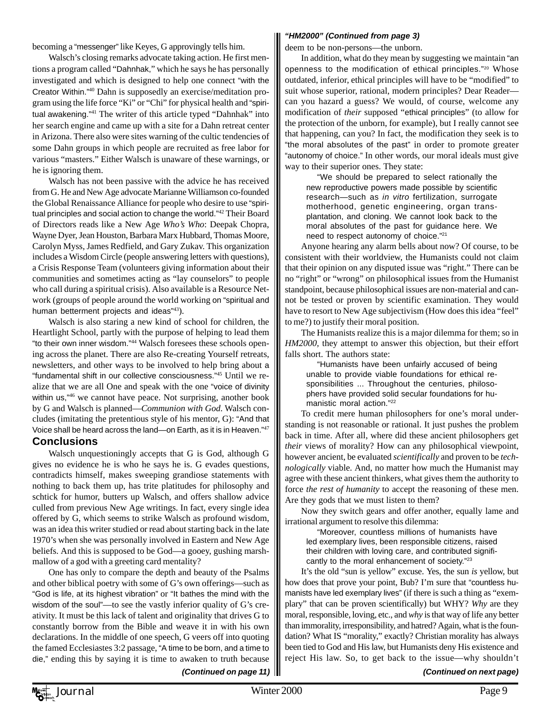becoming a "messenger" like Keyes, G approvingly tells him.

Walsch's closing remarks advocate taking action. He first mentions a program called "Dahnhak," which he says he has personally investigated and which is designed to help one connect "with the Creator Within."40 Dahn is supposedly an exercise/meditation program using the life force "Ki" or "Chi" for physical health and "spiritual awakening."41 The writer of this article typed "Dahnhak" into her search engine and came up with a site for a Dahn retreat center in Arizona. There also were sites warning of the cultic tendencies of some Dahn groups in which people are recruited as free labor for various "masters." Either Walsch is unaware of these warnings, or he is ignoring them.

Walsch has not been passive with the advice he has received from G. He and New Age advocate Marianne Williamson co-founded the Global Renaissance Alliance for people who desire to use "spiritual principles and social action to change the world."42 Their Board of Directors reads like a New Age *Who's Who*: Deepak Chopra, Wayne Dyer, Jean Houston, Barbara Marx Hubbard, Thomas Moore, Carolyn Myss, James Redfield, and Gary Zukav. This organization includes a Wisdom Circle (people answering letters with questions), a Crisis Response Team (volunteers giving information about their communities and sometimes acting as "lay counselors" to people who call during a spiritual crisis). Also available is a Resource Network (groups of people around the world working on "spiritual and human betterment projects and ideas"<sup>43</sup>).

Walsch is also staring a new kind of school for children, the Heartlight School, partly with the purpose of helping to lead them "to their own inner wisdom."44 Walsch foresees these schools opening across the planet. There are also Re-creating Yourself retreats, newsletters, and other ways to be involved to help bring about a "fundamental shift in our collective consciousness."45 Until we realize that we are all One and speak with the one "voice of divinity within us,<sup>"46</sup> we cannot have peace. Not surprising, another book by G and Walsch is planned—*Communion with God*. Walsch concludes (imitating the pretentious style of his mentor, G): "And that Voice shall be heard across the land—on Earth, as it is in Heaven."<sup>47</sup> **Conclusions**

#### Walsch unquestioningly accepts that G is God, although G gives no evidence he is who he says he is. G evades questions, contradicts himself, makes sweeping grandiose statements with nothing to back them up, has trite platitudes for philosophy and schtick for humor, butters up Walsch, and offers shallow advice culled from previous New Age writings. In fact, every single idea offered by G, which seems to strike Walsch as profound wisdom, was an idea this writer studied or read about starting back in the late 1970's when she was personally involved in Eastern and New Age beliefs. And this is supposed to be God—a gooey, gushing marshmallow of a god with a greeting card mentality?

One has only to compare the depth and beauty of the Psalms and other biblical poetry with some of G's own offerings—such as "God is life, at its highest vibration" or "It bathes the mind with the wisdom of the soul"—to see the vastly inferior quality of G's creativity. It must be this lack of talent and originality that drives G to constantly borrow from the Bible and weave it in with his own declarations. In the middle of one speech, G veers off into quoting the famed Ecclesiastes 3:2 passage*,* "A time to be born, and a time to die," ending this by saying it is time to awaken to truth because

#### *"HM2000" (Continued from page 3)*

deem to be non-persons—the unborn.

In addition, what do they mean by suggesting we maintain "an openness to the modification of ethical principles."20 Whose outdated, inferior, ethical principles will have to be "modified" to suit whose superior, rational, modern principles? Dear Reader can you hazard a guess? We would, of course, welcome any modification of *their* supposed "ethical principles" (to allow for the protection of the unborn, for example), but I really cannot see that happening, can you? In fact, the modification they seek is to "the moral absolutes of the past" in order to promote greater "autonomy of choice." In other words, our moral ideals must give way to their superior ones. They state:

"We should be prepared to select rationally the new reproductive powers made possible by scientific research—such as *in vitro* fertilization, surrogate motherhood, genetic engineering, organ transplantation, and cloning. We cannot look back to the moral absolutes of the past for guidance here. We need to respect autonomy of choice."21

Anyone hearing any alarm bells about now? Of course, to be consistent with their worldview, the Humanists could not claim that their opinion on any disputed issue was "right." There can be no "right" or "wrong" on philosophical issues from the Humanist standpoint, because philosophical issues are non-material and cannot be tested or proven by scientific examination. They would have to resort to New Age subjectivism (How does this idea "feel" to me?) to justify their moral position.

The Humanists realize this is a major dilemma for them; so in *HM2000,* they attempt to answer this objection, but their effort falls short. The authors state:

"Humanists have been unfairly accused of being unable to provide viable foundations for ethical responsibilities ... Throughout the centuries, philosophers have provided solid secular foundations for humanistic moral action."22

To credit mere human philosophers for one's moral understanding is not reasonable or rational. It just pushes the problem back in time. After all, where did these ancient philosophers get *their* views of morality? How can any philosophical viewpoint, however ancient, be evaluated *scientifically* and proven to be *technologically* viable. And, no matter how much the Humanist may agree with these ancient thinkers, what gives them the authority to force *the rest of humanity* to accept the reasoning of these men. Are they gods that we must listen to them?

Now they switch gears and offer another, equally lame and irrational argument to resolve this dilemma:

"Moreover, countless millions of humanists have led exemplary lives, been responsible citizens, raised their children with loving care, and contributed significantly to the moral enhancement of society."23

It's the old "sun is yellow" excuse. Yes, the sun *is* yellow, but how does that prove your point, Bub? I'm sure that "countless humanists have led exemplary lives" (if there is such a thing as "exemplary" that can be proven scientifically) but WHY? *Why* are they moral, responsible, loving, etc., and *why* is that way of life any better than immorality, irresponsibility, and hatred? Again, what is the foundation? What IS "morality," exactly? Christian morality has always been tied to God and His law, but Humanists deny His existence and reject His law. So, to get back to the issue—why shouldn't

 *(Continued on next page)*

 *(Continued on page 11)*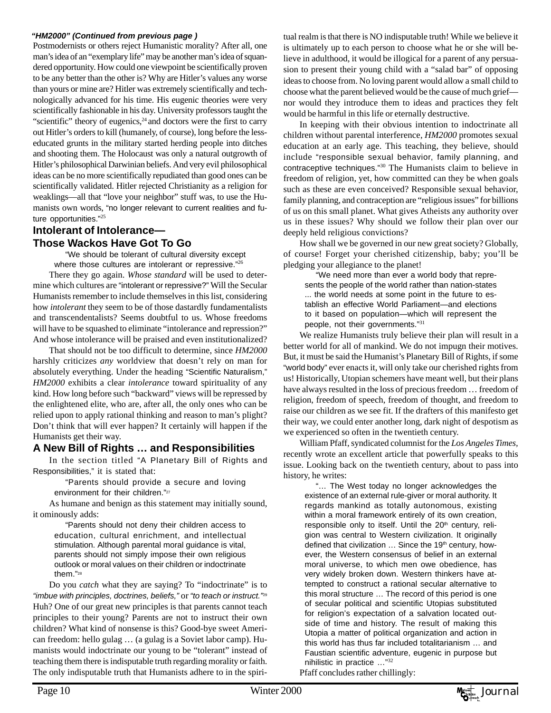#### *"HM2000" (Continued from previous page )*

Postmodernists or others reject Humanistic morality? After all, one man's idea of an "exemplary life" may be another man's idea of squandered opportunity. How could one viewpoint be scientifically proven to be any better than the other is? Why are Hitler's values any worse than yours or mine are? Hitler was extremely scientifically and technologically advanced for his time. His eugenic theories were very scientifically fashionable in his day. University professors taught the "scientific" theory of eugenics, $24$  and doctors were the first to carry out Hitler's orders to kill (humanely, of course), long before the lesseducated grunts in the military started herding people into ditches and shooting them. The Holocaust was only a natural outgrowth of Hitler's philosophical Darwinian beliefs. And very evil philosophical ideas can be no more scientifically repudiated than good ones can be scientifically validated. Hitler rejected Christianity as a religion for weaklings—all that "love your neighbor" stuff was, to use the Humanists own words, "no longer relevant to current realities and future opportunities."<sup>25</sup>

# **Intolerant of Intolerance—**

## **Those Wackos Have Got To Go**

"We should be tolerant of cultural diversity except where those cultures are intolerant or repressive."26

There they go again. *Whose standard* will be used to determine which cultures are "intolerant or repressive?" Will the Secular Humanists remember to include themselves in this list, considering how *intolerant* they seem to be of those dastardly fundamentalists and transcendentalists? Seems doubtful to us. Whose freedoms will have to be squashed to eliminate "intolerance and repression?" And whose intolerance will be praised and even institutionalized?

That should not be too difficult to determine, since *HM2000* harshly criticizes *any* worldview that doesn't rely on man for absolutely everything. Under the heading "Scientific Naturalism," *HM2000* exhibits a clear *intolerance* toward spirituality of any kind. How long before such "backward" views will be repressed by the enlightened elite, who are, after all, the only ones who can be relied upon to apply rational thinking and reason to man's plight? Don't think that will ever happen? It certainly will happen if the Humanists get their way.

## **A New Bill of Rights … and Responsibilities**

In the section titled "A Planetary Bill of Rights and Responsibilities," it is stated that:

"Parents should provide a secure and loving environment for their children."27

As humane and benign as this statement may initially sound, it ominously adds:

"Parents should not deny their children access to education, cultural enrichment, and intellectual stimulation. Although parental moral guidance is vital, parents should not simply impose their own religious outlook or moral values on their children or indoctrinate them."28

Do you *catch* what they are saying? To "indoctrinate" is to *"imbue with principles, doctrines, beliefs,"* or *"to teach or instruct."*<sup>29</sup> Huh? One of our great new principles is that parents cannot teach principles to their young? Parents are not to instruct their own children? What kind of nonsense is this? Good-bye sweet American freedom: hello gulag … (a gulag is a Soviet labor camp). Humanists would indoctrinate our young to be "tolerant" instead of teaching them there is indisputable truth regarding morality or faith. The only indisputable truth that Humanists adhere to in the spiritual realm is that there is NO indisputable truth! While we believe it is ultimately up to each person to choose what he or she will believe in adulthood, it would be illogical for a parent of any persuasion to present their young child with a "salad bar" of opposing ideas to choose from. No loving parent would allow a small child to choose what the parent believed would be the cause of much grief nor would they introduce them to ideas and practices they felt would be harmful in this life or eternally destructive.

In keeping with their obvious intention to indoctrinate all children without parental interference, *HM2000* promotes sexual education at an early age. This teaching, they believe, should include "responsible sexual behavior, family planning, and contraceptive techniques."30 The Humanists claim to believe in freedom of religion, yet, how committed can they be when goals such as these are even conceived? Responsible sexual behavior, family planning, and contraception are "religious issues" for billions of us on this small planet. What gives Atheists any authority over us in these issues? Why should we follow their plan over our deeply held religious convictions?

How shall we be governed in our new great society? Globally, of course! Forget your cherished citizenship, baby; you'll be pledging your allegiance to the planet!

"We need more than ever a world body that represents the people of the world rather than nation-states ... the world needs at some point in the future to establish an effective World Parliament—and elections to it based on population—which will represent the people, not their governments."<sup>31</sup>

We realize Humanists truly believe their plan will result in a better world for all of mankind. We do not impugn their motives. But, it must be said the Humanist's Planetary Bill of Rights, if some "world body" ever enacts it, will only take our cherished rights from us! Historically, Utopian schemers have meant well, but their plans have always resulted in the loss of precious freedom … freedom of religion, freedom of speech, freedom of thought, and freedom to raise our children as we see fit. If the drafters of this manifesto get their way, we could enter another long, dark night of despotism as we experienced so often in the twentieth century.

William Pfaff, syndicated columnist for the *Los Angeles Times,* recently wrote an excellent article that powerfully speaks to this issue. Looking back on the twentieth century, about to pass into history, he writes:

"… The West today no longer acknowledges the existence of an external rule-giver or moral authority. It regards mankind as totally autonomous, existing within a moral framework entirely of its own creation, responsible only to itself. Until the 20<sup>th</sup> century, religion was central to Western civilization. It originally defined that civilization ... Since the 19th century, however, the Western consensus of belief in an external moral universe, to which men owe obedience, has very widely broken down. Western thinkers have attempted to construct a rational secular alternative to this moral structure … The record of this period is one of secular political and scientific Utopias substituted for religion's expectation of a salvation located outside of time and history. The result of making this Utopia a matter of political organization and action in this world has thus far included totalitarianism … and Faustian scientific adventure, eugenic in purpose but nihilistic in practice …"<sup>32</sup>

Pfaff concludes rather chillingly:

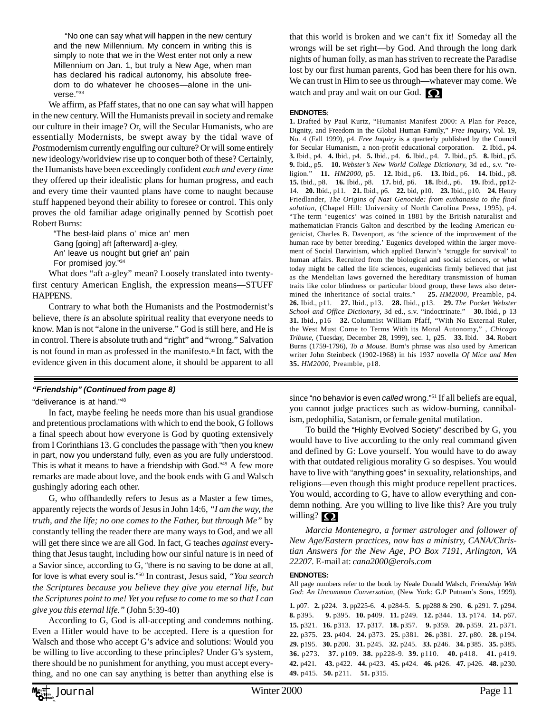"No one can say what will happen in the new century and the new Millennium. My concern in writing this is simply to note that we in the West enter not only a new Millennium on Jan. 1, but truly a New Age, when man has declared his radical autonomy, his absolute freedom to do whatever he chooses—alone in the universe."33

We affirm, as Pfaff states, that no one can say what will happen in the new century. Will the Humanists prevail in society and remake our culture in their image? Or, will the Secular Humanists, who are essentially Modernists, be swept away by the tidal wave of *Post*modernism currently engulfing our culture? Or will some entirely new ideology/worldview rise up to conquer both of these? Certainly, the Humanists have been exceedingly confident *each and every time* they offered up their idealistic plans for human progress, and each and every time their vaunted plans have come to naught because stuff happened beyond their ability to foresee or control. This only proves the old familiar adage originally penned by Scottish poet Robert Burns:

"The best-laid plans o' mice an' men Gang [going] aft [afterward] a-gley, An' leave us nought but grief an' pain For promised joy."34

What does "aft a-gley" mean? Loosely translated into twentyfirst century American English, the expression means—STUFF HAPPENS.

Contrary to what both the Humanists and the Postmodernist's believe, there *is* an absolute spiritual reality that everyone needs to know. Man is not "alone in the universe." God is still here, and He is in control. There is absolute truth and "right" and "wrong." Salvation is not found in man as professed in the manifesto.<sup>35</sup> In fact, with the evidence given in this document alone, it should be apparent to all

#### *"Friendship" (Continued from page 8)*

"deliverance is at hand."48

In fact, maybe feeling he needs more than his usual grandiose and pretentious proclamations with which to end the book, G follows a final speech about how everyone is God by quoting extensively from I Corinthians 13. G concludes the passage with "then you knew in part, now you understand fully, even as you are fully understood. This is what it means to have a friendship with God."49 A few more remarks are made about love, and the book ends with G and Walsch gushingly adoring each other.

G, who offhandedly refers to Jesus as a Master a few times, apparently rejects the words of Jesus in John 14:6, *"I am the way, the truth, and the life; no one comes to the Father, but through Me"* by constantly telling the reader there are many ways to God, and we all will get there since we are all God. In fact, G teaches *against* everything that Jesus taught, including how our sinful nature is in need of a Savior since, according to G, "there is no saving to be done at all, for love is what every soul is."50 In contrast, Jesus said, *"You search the Scriptures because you believe they give you eternal life, but the Scriptures point to me! Yet you refuse to come to me so that I can give you this eternal life."* (John 5:39-40)

According to G, God is all-accepting and condemns nothing. Even a Hitler would have to be accepted. Here is a question for Walsch and those who accept G's advice and solutions: Would you be willing to live according to these principles? Under G's system, there should be no punishment for anything, you must accept everything, and no one can say anything is better than anything else is that this world is broken and we can't fix it! Someday all the wrongs will be set right—by God. And through the long dark nights of human folly, as man has striven to recreate the Paradise lost by our first human parents, God has been there for his own. We can trust in Him to see us through—whatever may come. We watch and pray and wait on our God.

#### **ENDNOTES**:

**1.** Drafted by Paul Kurtz, "Humanist Manifest 2000: A Plan for Peace, Dignity, and Freedom in the Global Human Family," *Free Inquiry*, Vol. 19, No. 4 (Fall 1999), p4. *Free Inquiry* is a quarterly published by the Council for Secular Humanism, a non-profit educational corporation. **2.** Ibid., p4. **3.** Ibid., p4. **4.** Ibid., p4. **5.** Ibid., p4. **6.** Ibid., p4. **7.** Ibid., p5. **8.** Ibid., p5. **9.** Ibid., p5. **10.** *Webster's New World College Dictionary,* 3d ed., s.v. "religion." **11.** *HM2000*, p5. **12.** Ibid., p6. **13.** Ibid., p6. **14.** Ibid., p8. **15.** Ibid., p8. **16.** Ibid., p8. **17.** bid, p6. **18.** Ibid., p6. **19.** Ibid., pp12- 14. **20.** Ibid., p11. **21.** Ibid., p6. **22.** bid, p10. **23.** Ibid., p10. **24.** Henry Friedlander, *The Origins of Nazi Genocide: from euthanasia to the final solution,* (Chapel Hill: University of North Carolina Press, 1995), p4. "The term 'eugenics' was coined in 1881 by the British naturalist and mathematician Francis Galton and described by the leading American eugenicist, Charles B. Davenport, as 'the science of the improvement of the human race by better breeding.' Eugenics developed within the larger movement of Social Darwinism, which applied Darwin's 'struggle for survival' to human affairs. Recruited from the biological and social sciences, or what today might be called the life sciences, eugenicists firmly believed that just as the Mendelian laws governed the hereditary transmission of human traits like color blindness or particular blood group, these laws also determined the inheritance of social traits." **25.** *HM2000*, Preamble, p4. **26.** Ibid., p11. **27.** Ibid., p13. **28.** Ibid., p13. **29.** *The Pocket Webster School and Office Dictionary*, 3d ed., s.v. "indoctrinate." **30.** Ibid., p 13 **31.** Ibid., p16 **32.** Columnist William Pfaff, "With No External Ruler, the West Must Come to Terms With its Moral Autonomy," *, Chicago Tribune*, (Tuesday, December 28, 1999), sec. 1, p25. **33.** Ibid. **34.** Robert Burns (1759-1796), *To a Mouse.* Burn's phrase was also used by American writer John Steinbeck (1902-1968) in his 1937 novella *Of Mice and Men* **35.** *HM2000,* Preamble, p18.

since "no behavior is even *called* wrong."51 If all beliefs are equal, you cannot judge practices such as widow-burning, cannibalism, pedophilia, Satanism, or female genital mutilation.

To build the "Highly Evolved Society" described by G, you would have to live according to the only real command given and defined by G: Love yourself. You would have to do away with that outdated religious morality G so despises. You would have to live with "anything goes" in sexuality, relationships, and religions—even though this might produce repellent practices. You would, according to G, have to allow everything and condemn nothing. Are you willing to live like this? Are you truly willing?  $\bigcirc$ 

*Marcia Montenegro, a former astrologer and follower of New Age/Eastern practices, now has a ministry, CANA/Christian Answers for the New Age, PO Box 7191, Arlington, VA 22207.* E-mail at: *cana2000@erols.com*

#### **ENDNOTES:**

All page numbers refer to the book by Neale Donald Walsch, *Friendship With God*: *An Uncommon Conversation*, (New York: G.P Putnam's Sons, 1999).

**1.** p07. **2.** p224. **3.** pp225-6. **4.** p284-5. **5.** pp288 & 290. **6.** p291. **7.** p294. **8.** p395. **9.** p395. **10.** p409. **11.** p249. **12.** p344. **13.** p174. **14.** p67. **15.** p321. **16.** p313. **17.** p317. **18.** p357. **9.** p359. **20.** p359. **21.** p371. **22.** p375. **23.** p404. **24.** p373. **25.** p381. **26.** p381. **27.** p80. **28.** p194. **29.** p195. **30.** p200. **31.** p245. **32.** p245. **33.** p246. **34.** p385. **35.** p385. **36.** p273. **37.** p109. **38.** pp228-9. **39.** p110. **40.** p418. **41.** p419. **42.** p421. **43.** p422. **44.** p423. **45.** p424. **46.** p426. **47.** p426. **48.** p230. **49.** p415. **50.** p211. **51.** p315.